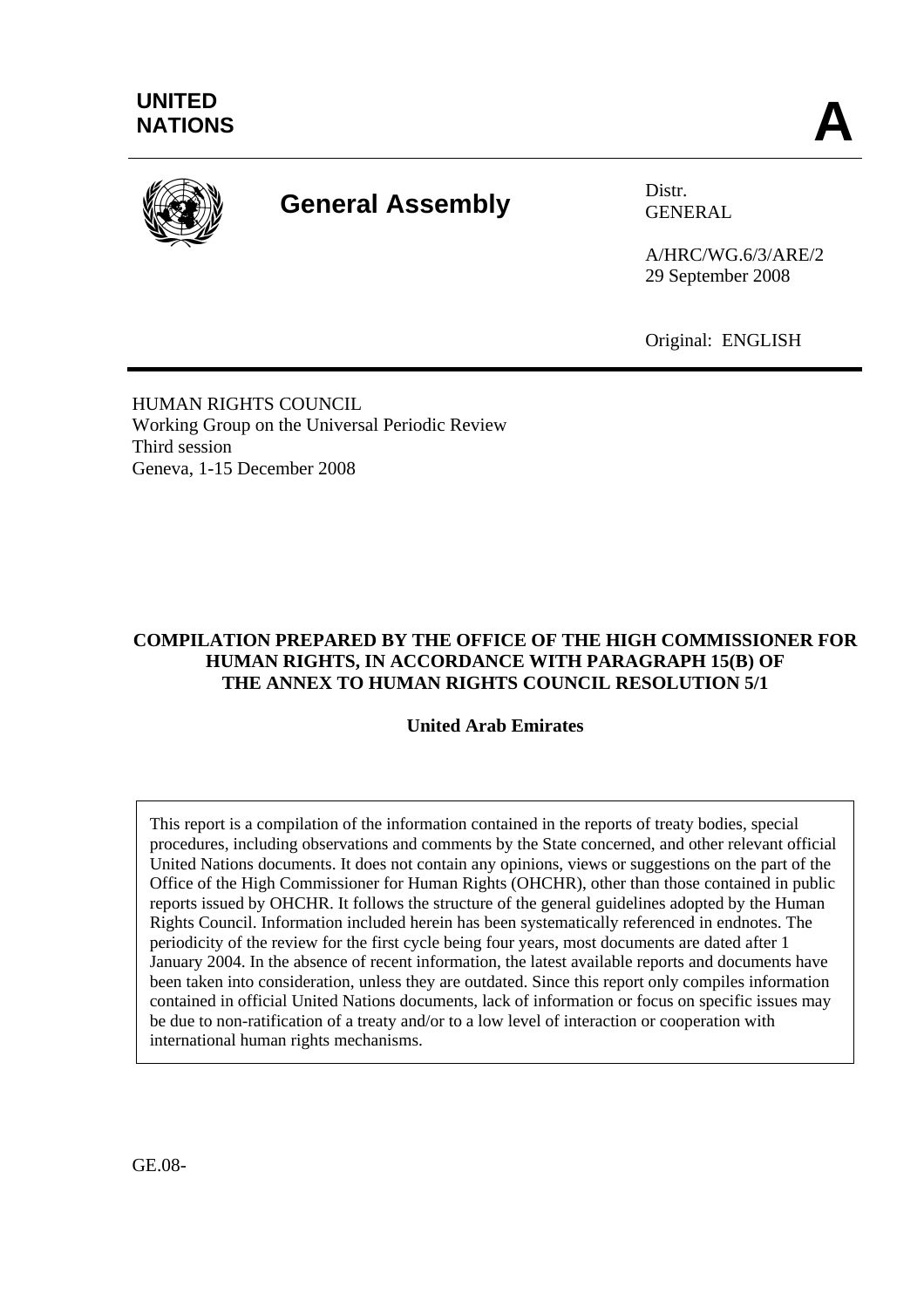

# **General Assembly** Distr.

GENERAL

A/HRC/WG.6/3/ARE/2 29 September 2008

Original: ENGLISH

HUMAN RIGHTS COUNCIL Working Group on the Universal Periodic Review Third session Geneva, 1-15 December 2008

# **COMPILATION PREPARED BY THE OFFICE OF THE HIGH COMMISSIONER FOR HUMAN RIGHTS, IN ACCORDANCE WITH PARAGRAPH 15(B) OF THE ANNEX TO HUMAN RIGHTS COUNCIL RESOLUTION 5/1**

# **United Arab Emirates**

This report is a compilation of the information contained in the reports of treaty bodies, special procedures, including observations and comments by the State concerned, and other relevant official United Nations documents. It does not contain any opinions, views or suggestions on the part of the Office of the High Commissioner for Human Rights (OHCHR), other than those contained in public reports issued by OHCHR. It follows the structure of the general guidelines adopted by the Human Rights Council. Information included herein has been systematically referenced in endnotes. The periodicity of the review for the first cycle being four years, most documents are dated after 1 January 2004. In the absence of recent information, the latest available reports and documents have been taken into consideration, unless they are outdated. Since this report only compiles information contained in official United Nations documents, lack of information or focus on specific issues may be due to non-ratification of a treaty and/or to a low level of interaction or cooperation with international human rights mechanisms.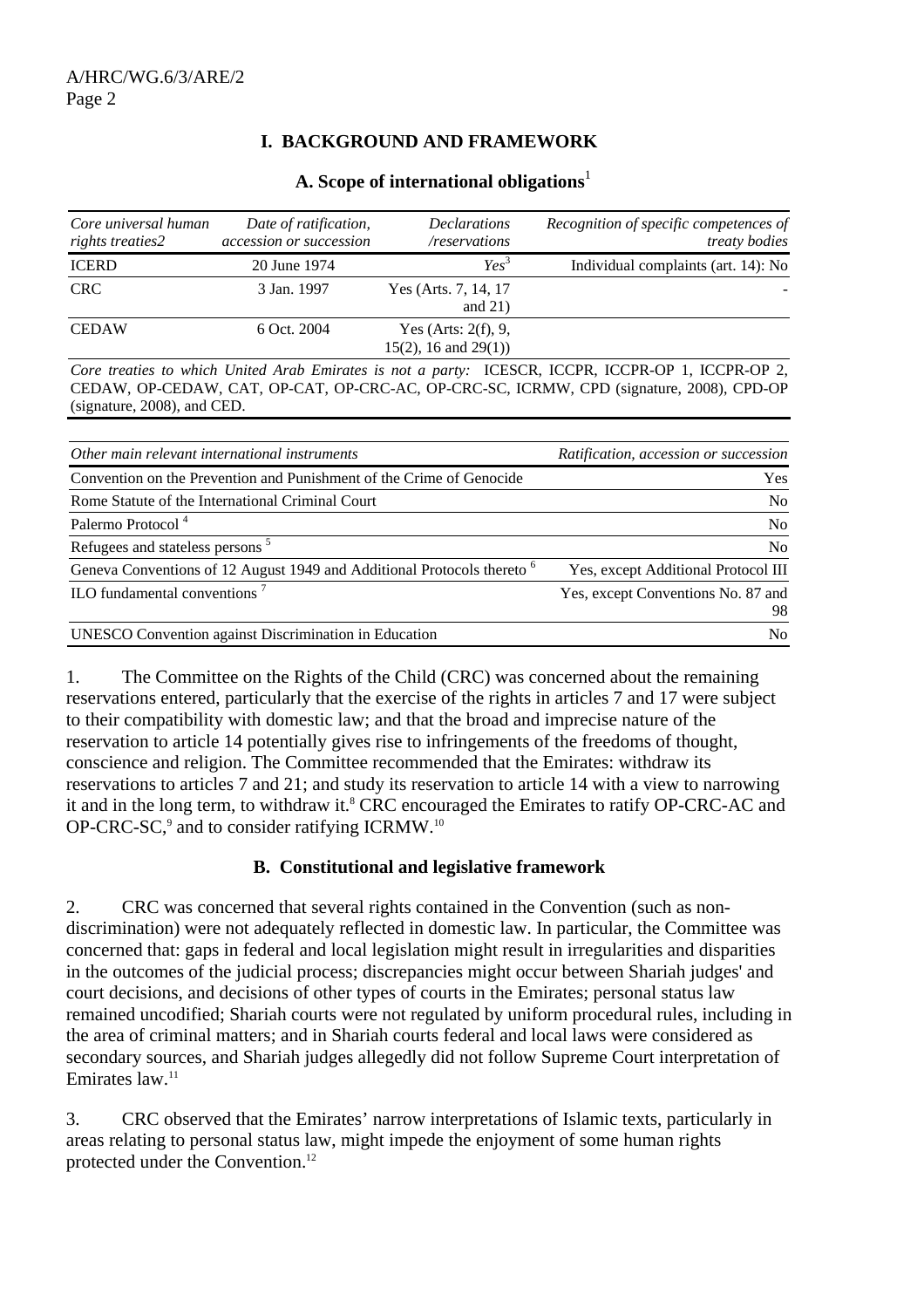# **I. BACKGROUND AND FRAMEWORK**

|  |  | A. Scope of international obligations <sup>1</sup> |  |
|--|--|----------------------------------------------------|--|
|  |  |                                                    |  |

| Core universal human<br>rights treaties2 | Date of ratification,<br>accession or succession | <b>Declarations</b><br>/reservations                 | Recognition of specific competences of<br><i>treaty bodies</i> |
|------------------------------------------|--------------------------------------------------|------------------------------------------------------|----------------------------------------------------------------|
| <b>ICERD</b>                             | 20 June 1974                                     | Yes <sup>3</sup>                                     | Individual complaints (art. 14): No                            |
| <b>CRC</b>                               | 3 Jan. 1997                                      | Yes (Arts. 7, 14, 17)<br>and $21$ )                  |                                                                |
| <b>CEDAW</b>                             | 6 Oct. 2004                                      | Yes (Arts: $2(f)$ , 9,<br>$15(2)$ , 16 and $29(1)$ ) |                                                                |

*Core treaties to which United Arab Emirates is not a party:* ICESCR, ICCPR, ICCPR-OP 1, ICCPR-OP 2, CEDAW, OP-CEDAW, CAT, OP-CAT, OP-CRC-AC, OP-CRC-SC, ICRMW, CPD (signature, 2008), CPD-OP (signature, 2008), and CED.

| Other main relevant international instruments                                      | Ratification, accession or succession    |
|------------------------------------------------------------------------------------|------------------------------------------|
| Convention on the Prevention and Punishment of the Crime of Genocide               | <b>Yes</b>                               |
| Rome Statute of the International Criminal Court                                   | N <sub>o</sub>                           |
| Palermo Protocol <sup>4</sup>                                                      | N <sub>0</sub>                           |
| Refugees and stateless persons <sup>5</sup>                                        | N <sub>0</sub>                           |
| Geneva Conventions of 12 August 1949 and Additional Protocols thereto <sup>6</sup> | Yes, except Additional Protocol III      |
| ILO fundamental conventions $7$                                                    | Yes, except Conventions No. 87 and<br>98 |
| <b>UNESCO</b> Convention against Discrimination in Education                       | N <sub>0</sub>                           |

1. The Committee on the Rights of the Child (CRC) was concerned about the remaining reservations entered, particularly that the exercise of the rights in articles 7 and 17 were subject to their compatibility with domestic law; and that the broad and imprecise nature of the reservation to article 14 potentially gives rise to infringements of the freedoms of thought, conscience and religion. The Committee recommended that the Emirates: withdraw its reservations to articles 7 and 21; and study its reservation to article 14 with a view to narrowing it and in the long term, to withdraw it.<sup>8</sup> CRC encouraged the Emirates to ratify OP-CRC-AC and OP-CRC-SC, $9$  and to consider ratifying ICRMW.<sup>10</sup>

#### **B. Constitutional and legislative framework**

2. CRC was concerned that several rights contained in the Convention (such as nondiscrimination) were not adequately reflected in domestic law. In particular, the Committee was concerned that: gaps in federal and local legislation might result in irregularities and disparities in the outcomes of the judicial process; discrepancies might occur between Shariah judges' and court decisions, and decisions of other types of courts in the Emirates; personal status law remained uncodified; Shariah courts were not regulated by uniform procedural rules, including in the area of criminal matters; and in Shariah courts federal and local laws were considered as secondary sources, and Shariah judges allegedly did not follow Supreme Court interpretation of Emirates law.11

3. CRC observed that the Emirates' narrow interpretations of Islamic texts, particularly in areas relating to personal status law, might impede the enjoyment of some human rights protected under the Convention.<sup>12</sup>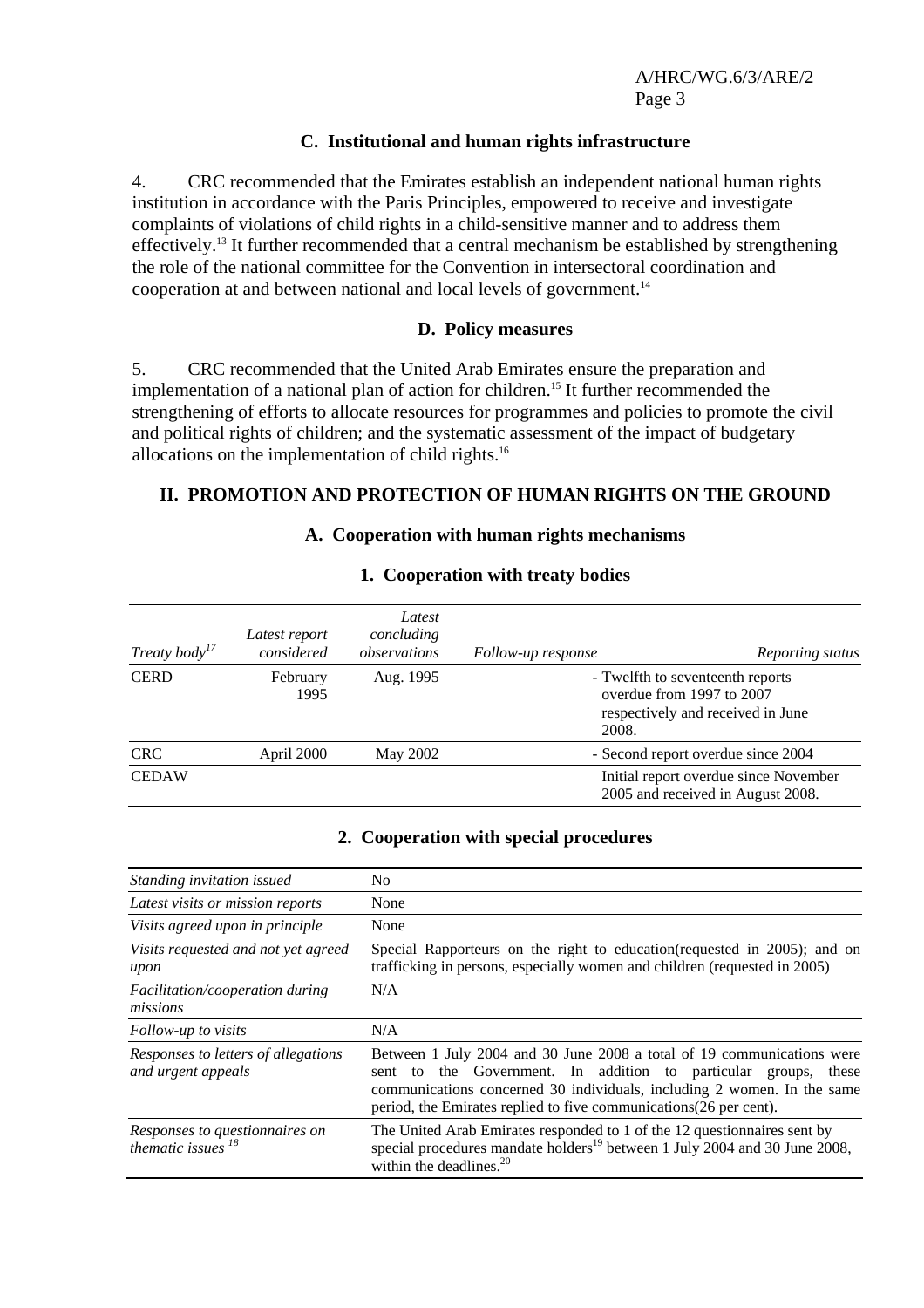A/HRC/WG.6/3/ARE/2 Page 3

#### **C. Institutional and human rights infrastructure**

4. CRC recommended that the Emirates establish an independent national human rights institution in accordance with the Paris Principles, empowered to receive and investigate complaints of violations of child rights in a child-sensitive manner and to address them effectively.13 It further recommended that a central mechanism be established by strengthening the role of the national committee for the Convention in intersectoral coordination and cooperation at and between national and local levels of government.14

#### **D. Policy measures**

5. CRC recommended that the United Arab Emirates ensure the preparation and implementation of a national plan of action for children.<sup>15</sup> It further recommended the strengthening of efforts to allocate resources for programmes and policies to promote the civil and political rights of children; and the systematic assessment of the impact of budgetary allocations on the implementation of child rights.16

#### **II. PROMOTION AND PROTECTION OF HUMAN RIGHTS ON THE GROUND**

#### **A. Cooperation with human rights mechanisms**

| Treaty body <sup>17</sup> | Latest report<br>considered | Latest<br>concluding<br>observations | Follow-up response | Reporting status                                                                                   |
|---------------------------|-----------------------------|--------------------------------------|--------------------|----------------------------------------------------------------------------------------------------|
| <b>CERD</b>               | February<br>1995            | Aug. 1995                            | 2008.              | - Twelfth to seventeenth reports<br>overdue from 1997 to 2007<br>respectively and received in June |
| <b>CRC</b>                | April 2000                  | May 2002                             |                    | - Second report overdue since 2004                                                                 |
| <b>CEDAW</b>              |                             |                                      |                    | Initial report overdue since November<br>2005 and received in August 2008.                         |

#### **1. Cooperation with treaty bodies**

#### **2. Cooperation with special procedures**

| Standing invitation issued                                | No.                                                                                                                                                                                                                                                                                              |
|-----------------------------------------------------------|--------------------------------------------------------------------------------------------------------------------------------------------------------------------------------------------------------------------------------------------------------------------------------------------------|
| Latest visits or mission reports                          | None                                                                                                                                                                                                                                                                                             |
| Visits agreed upon in principle                           | None                                                                                                                                                                                                                                                                                             |
| Visits requested and not yet agreed<br>upon               | Special Rapporteurs on the right to education (requested in 2005); and on<br>trafficking in persons, especially women and children (requested in 2005)                                                                                                                                           |
| Facilitation/cooperation during<br>missions               | N/A                                                                                                                                                                                                                                                                                              |
| Follow-up to visits                                       | N/A                                                                                                                                                                                                                                                                                              |
| Responses to letters of allegations<br>and urgent appeals | Between 1 July 2004 and 30 June 2008 a total of 19 communications were<br>to the Government. In addition to particular groups,<br>these<br>sent<br>communications concerned 30 individuals, including 2 women. In the same<br>period, the Emirates replied to five communications (26 per cent). |
| Responses to questionnaires on<br>thematic issues $^{18}$ | The United Arab Emirates responded to 1 of the 12 questionnaires sent by<br>special procedures mandate holders <sup>19</sup> between 1 July 2004 and 30 June 2008,<br>within the deadlines. $20$                                                                                                 |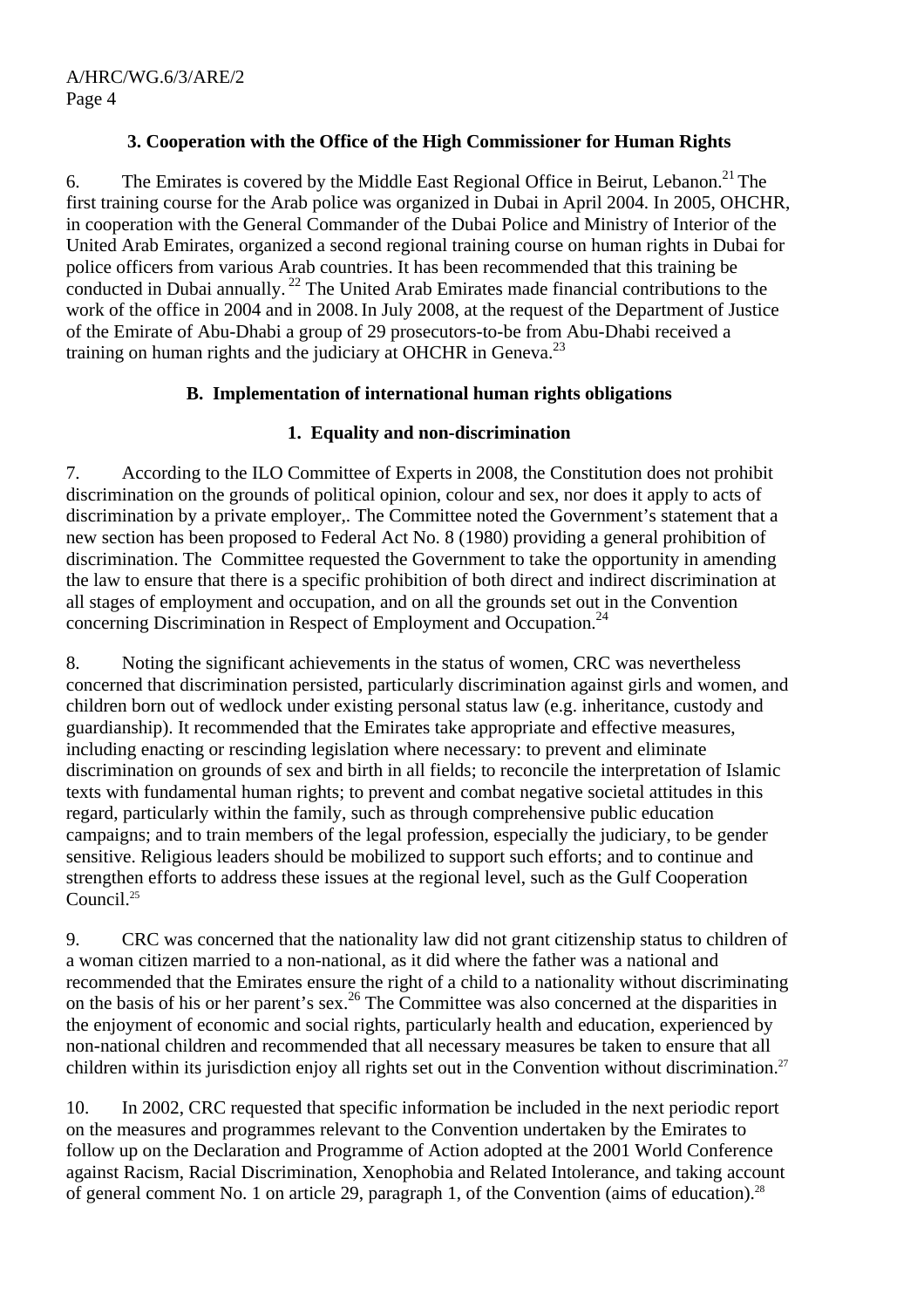## **3. Cooperation with the Office of the High Commissioner for Human Rights**

6. The Emirates is covered by the Middle East Regional Office in Beirut, Lebanon.<sup>21</sup> The first training course for the Arab police was organized in Dubai in April 2004. In 2005, OHCHR, in cooperation with the General Commander of the Dubai Police and Ministry of Interior of the United Arab Emirates, organized a second regional training course on human rights in Dubai for police officers from various Arab countries. It has been recommended that this training be conducted in Dubai annually.<sup>22</sup> The United Arab Emirates made financial contributions to the work of the office in 2004 and in 2008. In July 2008, at the request of the Department of Justice of the Emirate of Abu-Dhabi a group of 29 prosecutors-to-be from Abu-Dhabi received a training on human rights and the judiciary at OHCHR in Geneva.<sup>23</sup>

## **B. Implementation of international human rights obligations**

## **1. Equality and non-discrimination**

7. According to the ILO Committee of Experts in 2008, the Constitution does not prohibit discrimination on the grounds of political opinion, colour and sex, nor does it apply to acts of discrimination by a private employer,. The Committee noted the Government's statement that a new section has been proposed to Federal Act No. 8 (1980) providing a general prohibition of discrimination. The Committee requested the Government to take the opportunity in amending the law to ensure that there is a specific prohibition of both direct and indirect discrimination at all stages of employment and occupation, and on all the grounds set out in the Convention concerning Discrimination in Respect of Employment and Occupation.<sup>24</sup>

8. Noting the significant achievements in the status of women, CRC was nevertheless concerned that discrimination persisted, particularly discrimination against girls and women, and children born out of wedlock under existing personal status law (e.g. inheritance, custody and guardianship). It recommended that the Emirates take appropriate and effective measures, including enacting or rescinding legislation where necessary: to prevent and eliminate discrimination on grounds of sex and birth in all fields; to reconcile the interpretation of Islamic texts with fundamental human rights; to prevent and combat negative societal attitudes in this regard, particularly within the family, such as through comprehensive public education campaigns; and to train members of the legal profession, especially the judiciary, to be gender sensitive. Religious leaders should be mobilized to support such efforts; and to continue and strengthen efforts to address these issues at the regional level, such as the Gulf Cooperation Council.<sup>25</sup>

9. CRC was concerned that the nationality law did not grant citizenship status to children of a woman citizen married to a non-national, as it did where the father was a national and recommended that the Emirates ensure the right of a child to a nationality without discriminating on the basis of his or her parent's sex.<sup>26</sup> The Committee was also concerned at the disparities in the enjoyment of economic and social rights, particularly health and education, experienced by non-national children and recommended that all necessary measures be taken to ensure that all children within its jurisdiction enjoy all rights set out in the Convention without discrimination.<sup>27</sup>

10. In 2002, CRC requested that specific information be included in the next periodic report on the measures and programmes relevant to the Convention undertaken by the Emirates to follow up on the Declaration and Programme of Action adopted at the 2001 World Conference against Racism, Racial Discrimination, Xenophobia and Related Intolerance, and taking account of general comment No. 1 on article 29, paragraph 1, of the Convention (aims of education).<sup>28</sup>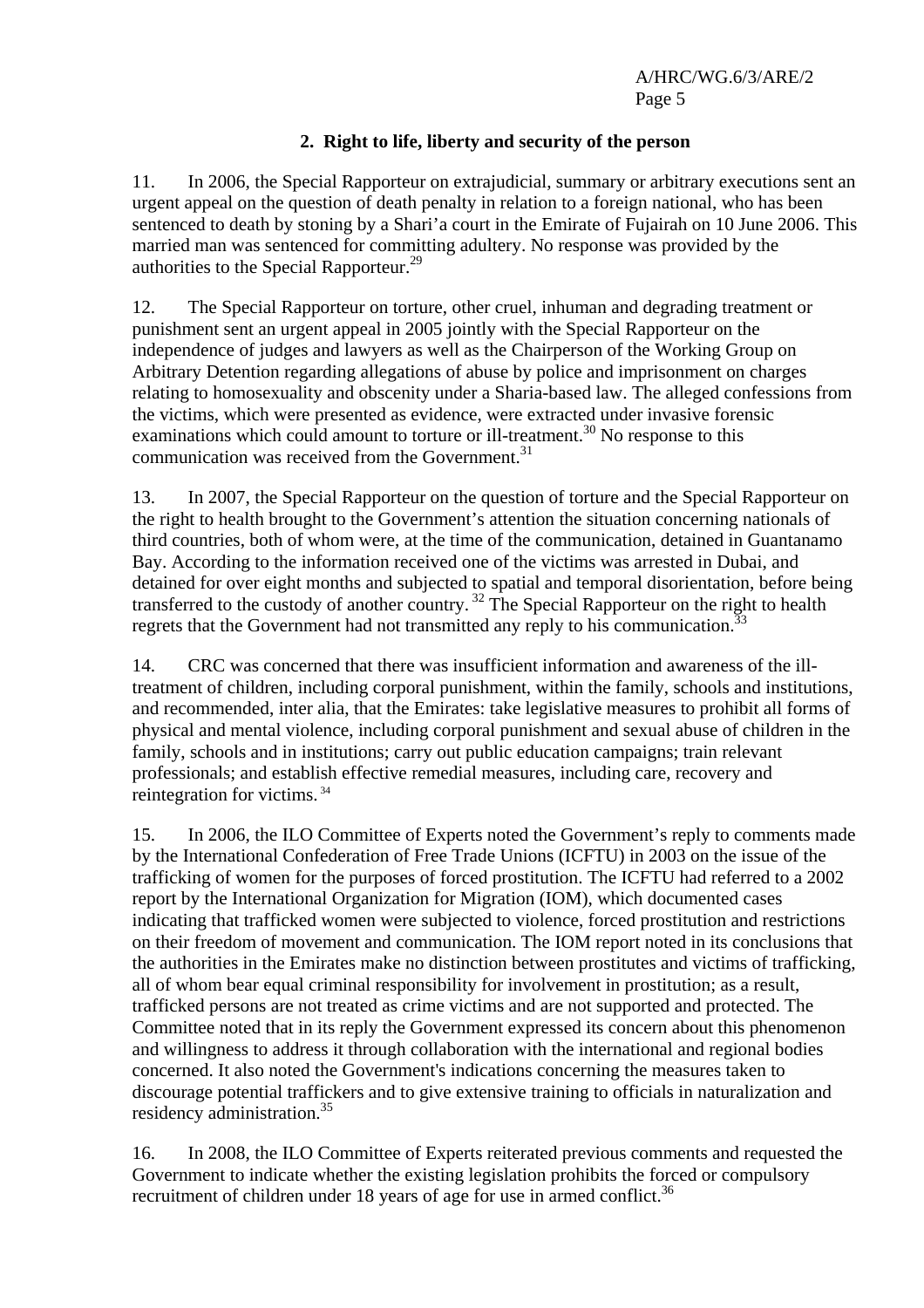A/HRC/WG.6/3/ARE/2 Page 5

## **2. Right to life, liberty and security of the person**

11. In 2006, the Special Rapporteur on extrajudicial, summary or arbitrary executions sent an urgent appeal on the question of death penalty in relation to a foreign national, who has been sentenced to death by stoning by a Shari'a court in the Emirate of Fujairah on 10 June 2006. This married man was sentenced for committing adultery. No response was provided by the authorities to the Special Rapporteur.29

12. The Special Rapporteur on torture, other cruel, inhuman and degrading treatment or punishment sent an urgent appeal in 2005 jointly with the Special Rapporteur on the independence of judges and lawyers as well as the Chairperson of the Working Group on Arbitrary Detention regarding allegations of abuse by police and imprisonment on charges relating to homosexuality and obscenity under a Sharia-based law. The alleged confessions from the victims, which were presented as evidence, were extracted under invasive forensic examinations which could amount to torture or ill-treatment.<sup>30</sup> No response to this communication was received from the Government. $31$ 

13. In 2007, the Special Rapporteur on the question of torture and the Special Rapporteur on the right to health brought to the Government's attention the situation concerning nationals of third countries, both of whom were, at the time of the communication, detained in Guantanamo Bay. According to the information received one of the victims was arrested in Dubai, and detained for over eight months and subjected to spatial and temporal disorientation, before being transferred to the custody of another country.<sup>32</sup> The Special Rapporteur on the right to health regrets that the Government had not transmitted any reply to his communication.<sup>33</sup>

14. CRC was concerned that there was insufficient information and awareness of the illtreatment of children, including corporal punishment, within the family, schools and institutions, and recommended, inter alia, that the Emirates: take legislative measures to prohibit all forms of physical and mental violence, including corporal punishment and sexual abuse of children in the family, schools and in institutions; carry out public education campaigns; train relevant professionals; and establish effective remedial measures, including care, recovery and reintegration for victims. 34

15. In 2006, the ILO Committee of Experts noted the Government's reply to comments made by the International Confederation of Free Trade Unions (ICFTU) in 2003 on the issue of the trafficking of women for the purposes of forced prostitution. The ICFTU had referred to a 2002 report by the International Organization for Migration (IOM), which documented cases indicating that trafficked women were subjected to violence, forced prostitution and restrictions on their freedom of movement and communication. The IOM report noted in its conclusions that the authorities in the Emirates make no distinction between prostitutes and victims of trafficking, all of whom bear equal criminal responsibility for involvement in prostitution; as a result, trafficked persons are not treated as crime victims and are not supported and protected. The Committee noted that in its reply the Government expressed its concern about this phenomenon and willingness to address it through collaboration with the international and regional bodies concerned. It also noted the Government's indications concerning the measures taken to discourage potential traffickers and to give extensive training to officials in naturalization and residency administration.<sup>35</sup>

16. In 2008, the ILO Committee of Experts reiterated previous comments and requested the Government to indicate whether the existing legislation prohibits the forced or compulsory recruitment of children under 18 years of age for use in armed conflict.<sup>36</sup>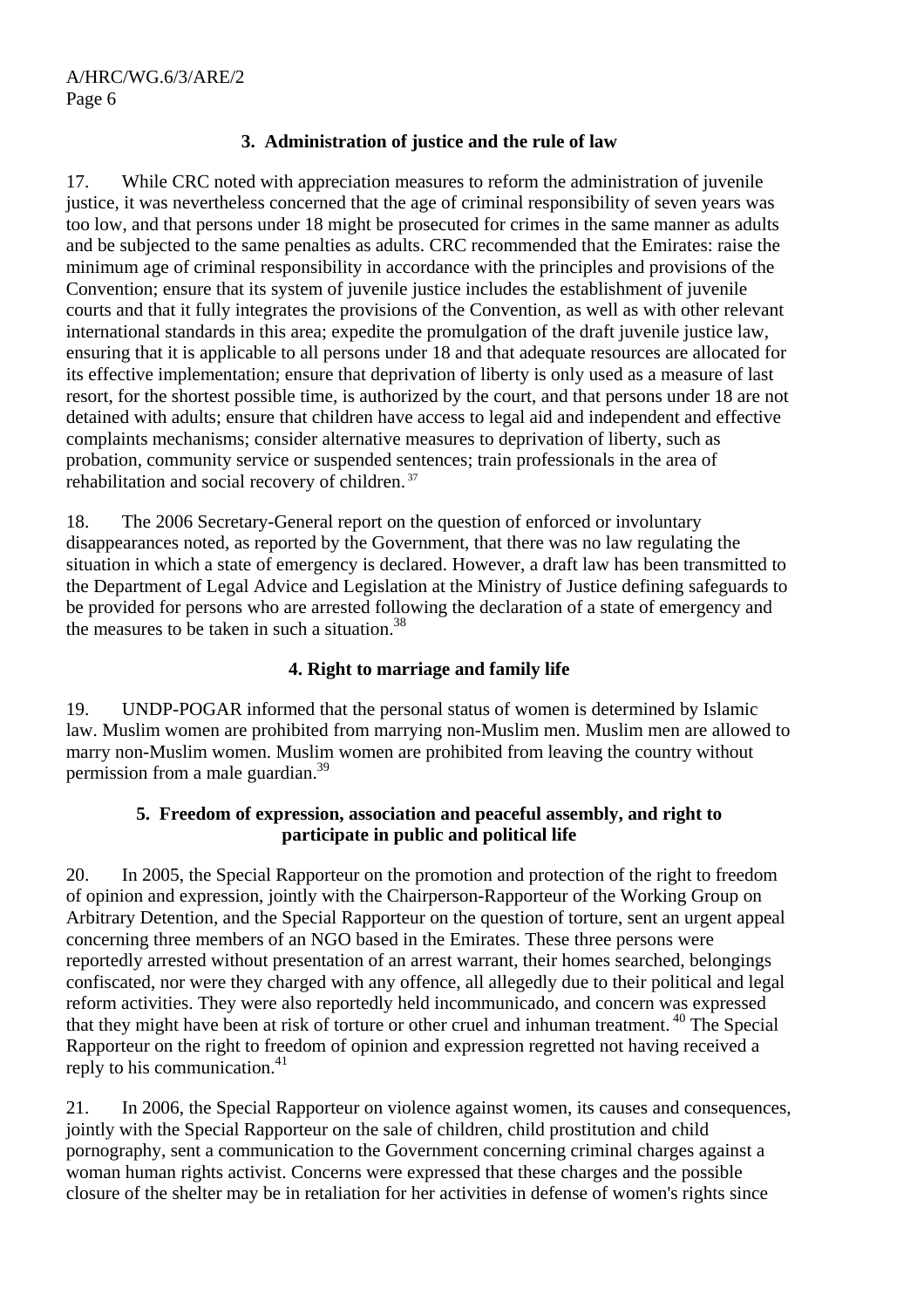## **3. Administration of justice and the rule of law**

17. While CRC noted with appreciation measures to reform the administration of juvenile justice, it was nevertheless concerned that the age of criminal responsibility of seven years was too low, and that persons under 18 might be prosecuted for crimes in the same manner as adults and be subjected to the same penalties as adults. CRC recommended that the Emirates: raise the minimum age of criminal responsibility in accordance with the principles and provisions of the Convention; ensure that its system of juvenile justice includes the establishment of juvenile courts and that it fully integrates the provisions of the Convention, as well as with other relevant international standards in this area; expedite the promulgation of the draft juvenile justice law, ensuring that it is applicable to all persons under 18 and that adequate resources are allocated for its effective implementation; ensure that deprivation of liberty is only used as a measure of last resort, for the shortest possible time, is authorized by the court, and that persons under 18 are not detained with adults; ensure that children have access to legal aid and independent and effective complaints mechanisms; consider alternative measures to deprivation of liberty, such as probation, community service or suspended sentences; train professionals in the area of rehabilitation and social recovery of children. 37

18. The 2006 Secretary-General report on the question of enforced or involuntary disappearances noted, as reported by the Government, that there was no law regulating the situation in which a state of emergency is declared. However, a draft law has been transmitted to the Department of Legal Advice and Legislation at the Ministry of Justice defining safeguards to be provided for persons who are arrested following the declaration of a state of emergency and the measures to be taken in such a situation.38

# **4. Right to marriage and family life**

19. UNDP-POGAR informed that the personal status of women is determined by Islamic law. Muslim women are prohibited from marrying non-Muslim men. Muslim men are allowed to marry non-Muslim women. Muslim women are prohibited from leaving the country without permission from a male guardian.39

#### **5. Freedom of expression, association and peaceful assembly, and right to participate in public and political life**

20. In 2005, the Special Rapporteur on the promotion and protection of the right to freedom of opinion and expression, jointly with the Chairperson-Rapporteur of the Working Group on Arbitrary Detention, and the Special Rapporteur on the question of torture, sent an urgent appeal concerning three members of an NGO based in the Emirates. These three persons were reportedly arrested without presentation of an arrest warrant, their homes searched, belongings confiscated, nor were they charged with any offence, all allegedly due to their political and legal reform activities. They were also reportedly held incommunicado, and concern was expressed that they might have been at risk of torture or other cruel and inhuman treatment. 40 The Special Rapporteur on the right to freedom of opinion and expression regretted not having received a reply to his communication.<sup>41</sup>

21. In 2006, the Special Rapporteur on violence against women, its causes and consequences, jointly with the Special Rapporteur on the sale of children, child prostitution and child pornography, sent a communication to the Government concerning criminal charges against a woman human rights activist. Concerns were expressed that these charges and the possible closure of the shelter may be in retaliation for her activities in defense of women's rights since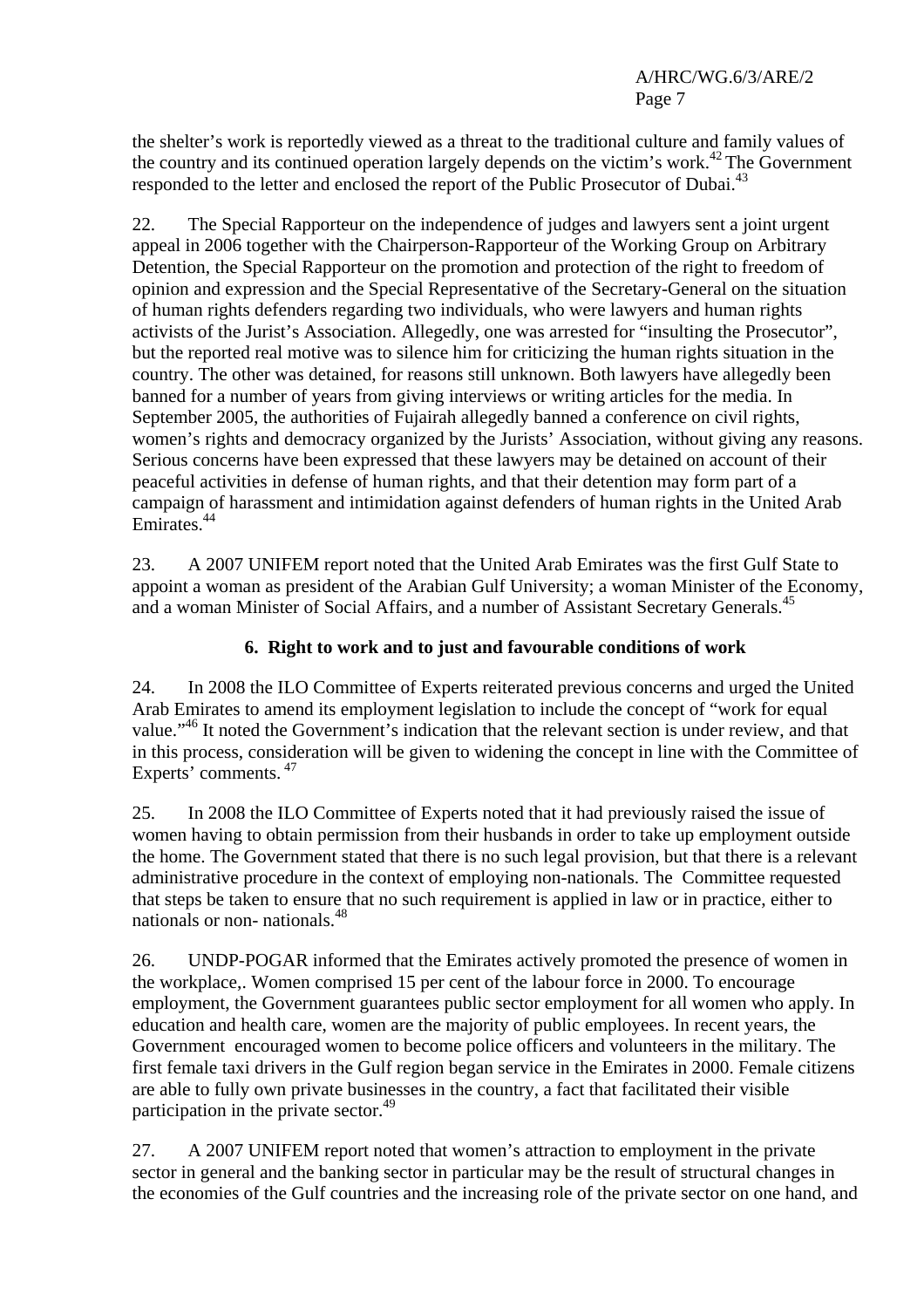the shelter's work is reportedly viewed as a threat to the traditional culture and family values of the country and its continued operation largely depends on the victim's work.<sup>42</sup> The Government responded to the letter and enclosed the report of the Public Prosecutor of Dubai.<sup>43</sup>

22. The Special Rapporteur on the independence of judges and lawyers sent a joint urgent appeal in 2006 together with the Chairperson-Rapporteur of the Working Group on Arbitrary Detention, the Special Rapporteur on the promotion and protection of the right to freedom of opinion and expression and the Special Representative of the Secretary-General on the situation of human rights defenders regarding two individuals, who were lawyers and human rights activists of the Jurist's Association. Allegedly, one was arrested for "insulting the Prosecutor", but the reported real motive was to silence him for criticizing the human rights situation in the country. The other was detained, for reasons still unknown. Both lawyers have allegedly been banned for a number of years from giving interviews or writing articles for the media. In September 2005, the authorities of Fujairah allegedly banned a conference on civil rights, women's rights and democracy organized by the Jurists' Association, without giving any reasons. Serious concerns have been expressed that these lawyers may be detained on account of their peaceful activities in defense of human rights, and that their detention may form part of a campaign of harassment and intimidation against defenders of human rights in the United Arab Emirates<sup>44</sup>

23. A 2007 UNIFEM report noted that the United Arab Emirates was the first Gulf State to appoint a woman as president of the Arabian Gulf University; a woman Minister of the Economy, and a woman Minister of Social Affairs, and a number of Assistant Secretary Generals.<sup>45</sup>

## **6. Right to work and to just and favourable conditions of work**

24. In 2008 the ILO Committee of Experts reiterated previous concerns and urged the United Arab Emirates to amend its employment legislation to include the concept of "work for equal value."<sup>46</sup> It noted the Government's indication that the relevant section is under review, and that in this process, consideration will be given to widening the concept in line with the Committee of Experts' comments. 47

25. In 2008 the ILO Committee of Experts noted that it had previously raised the issue of women having to obtain permission from their husbands in order to take up employment outside the home. The Government stated that there is no such legal provision, but that there is a relevant administrative procedure in the context of employing non-nationals. The Committee requested that steps be taken to ensure that no such requirement is applied in law or in practice, either to nationals or non- nationals.48

26. UNDP-POGAR informed that the Emirates actively promoted the presence of women in the workplace,. Women comprised 15 per cent of the labour force in 2000. To encourage employment, the Government guarantees public sector employment for all women who apply. In education and health care, women are the majority of public employees. In recent years, the Government encouraged women to become police officers and volunteers in the military. The first female taxi drivers in the Gulf region began service in the Emirates in 2000. Female citizens are able to fully own private businesses in the country, a fact that facilitated their visible participation in the private sector.<sup>49</sup>

27. A 2007 UNIFEM report noted that women's attraction to employment in the private sector in general and the banking sector in particular may be the result of structural changes in the economies of the Gulf countries and the increasing role of the private sector on one hand, and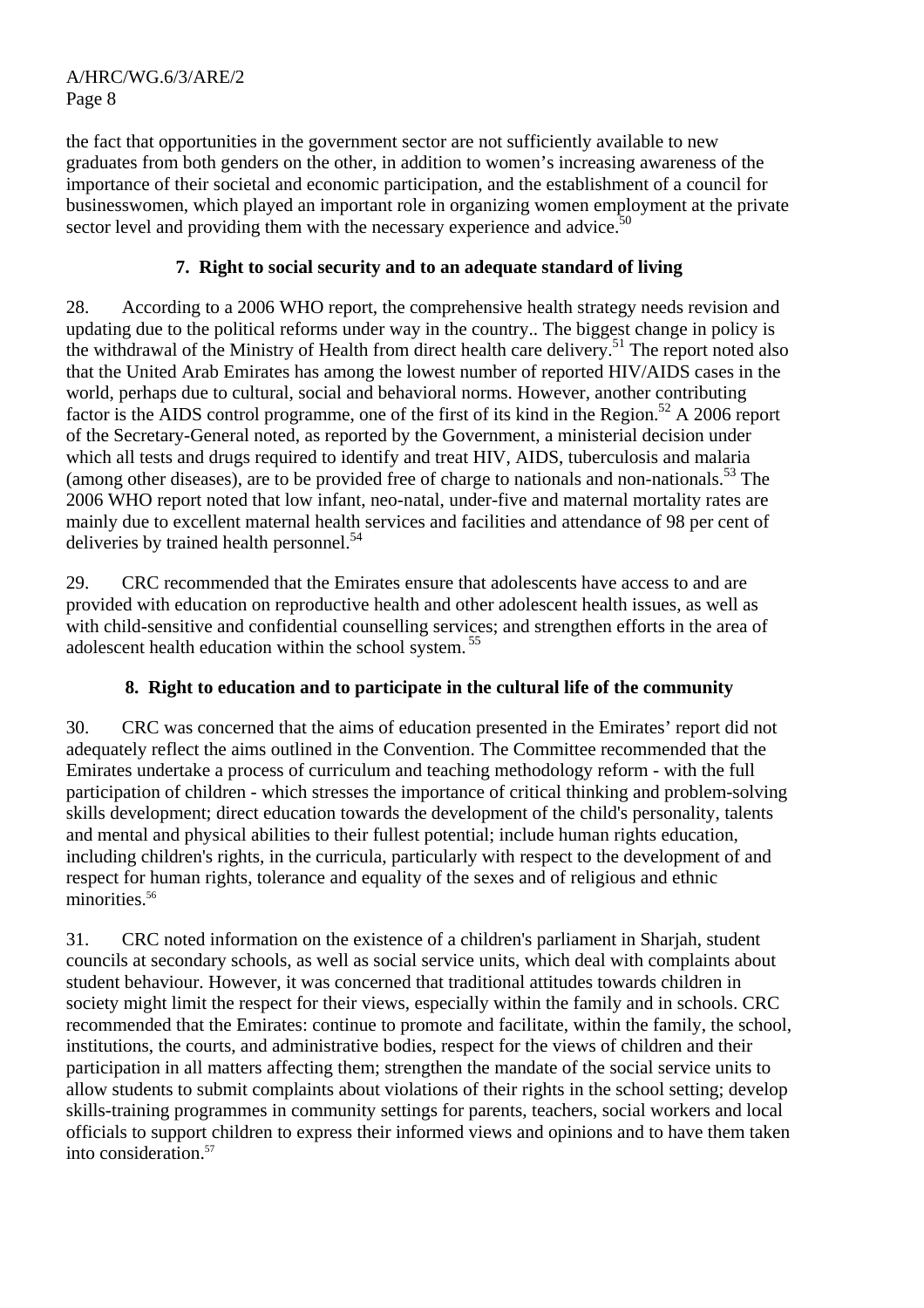the fact that opportunities in the government sector are not sufficiently available to new graduates from both genders on the other, in addition to women's increasing awareness of the importance of their societal and economic participation, and the establishment of a council for businesswomen, which played an important role in organizing women employment at the private sector level and providing them with the necessary experience and advice.<sup>50</sup>

# **7. Right to social security and to an adequate standard of living**

28. According to a 2006 WHO report, the comprehensive health strategy needs revision and updating due to the political reforms under way in the country.. The biggest change in policy is the withdrawal of the Ministry of Health from direct health care delivery.<sup>51</sup> The report noted also that the United Arab Emirates has among the lowest number of reported HIV/AIDS cases in the world, perhaps due to cultural, social and behavioral norms. However, another contributing factor is the AIDS control programme, one of the first of its kind in the Region.<sup>52</sup> A 2006 report of the Secretary-General noted, as reported by the Government, a ministerial decision under which all tests and drugs required to identify and treat HIV, AIDS, tuberculosis and malaria (among other diseases), are to be provided free of charge to nationals and non-nationals.<sup>53</sup> The 2006 WHO report noted that low infant, neo-natal, under-five and maternal mortality rates are mainly due to excellent maternal health services and facilities and attendance of 98 per cent of deliveries by trained health personnel.<sup>54</sup>

29. CRC recommended that the Emirates ensure that adolescents have access to and are provided with education on reproductive health and other adolescent health issues, as well as with child-sensitive and confidential counselling services; and strengthen efforts in the area of adolescent health education within the school system. <sup>55</sup>

# **8. Right to education and to participate in the cultural life of the community**

30. CRC was concerned that the aims of education presented in the Emirates' report did not adequately reflect the aims outlined in the Convention. The Committee recommended that the Emirates undertake a process of curriculum and teaching methodology reform - with the full participation of children - which stresses the importance of critical thinking and problem-solving skills development; direct education towards the development of the child's personality, talents and mental and physical abilities to their fullest potential; include human rights education, including children's rights, in the curricula, particularly with respect to the development of and respect for human rights, tolerance and equality of the sexes and of religious and ethnic minorities.<sup>56</sup>

31. CRC noted information on the existence of a children's parliament in Sharjah, student councils at secondary schools, as well as social service units, which deal with complaints about student behaviour. However, it was concerned that traditional attitudes towards children in society might limit the respect for their views, especially within the family and in schools. CRC recommended that the Emirates: continue to promote and facilitate, within the family, the school, institutions, the courts, and administrative bodies, respect for the views of children and their participation in all matters affecting them; strengthen the mandate of the social service units to allow students to submit complaints about violations of their rights in the school setting; develop skills-training programmes in community settings for parents, teachers, social workers and local officials to support children to express their informed views and opinions and to have them taken into consideration.57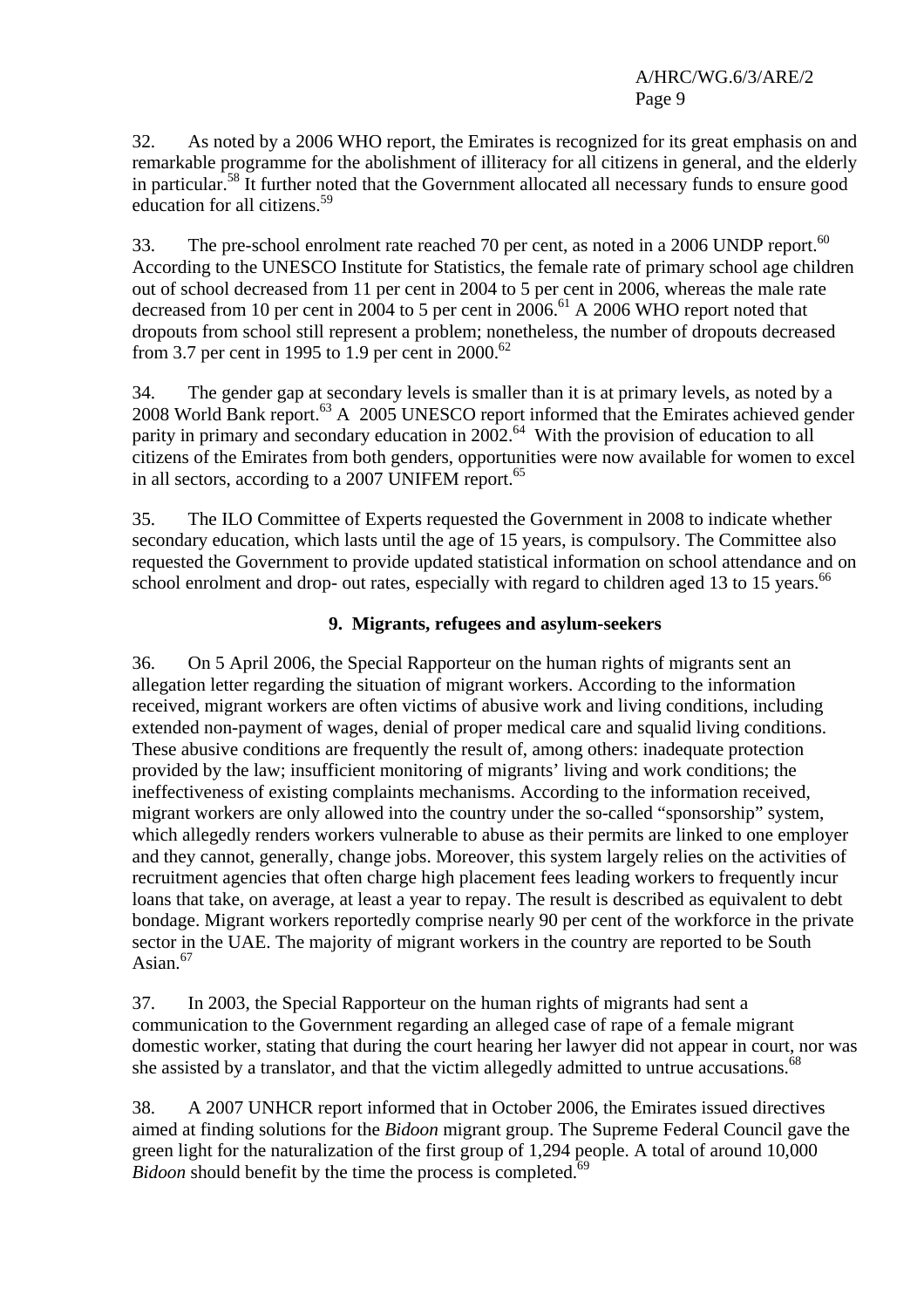32. As noted by a 2006 WHO report, the Emirates is recognized for its great emphasis on and remarkable programme for the abolishment of illiteracy for all citizens in general, and the elderly in particular.58 It further noted that the Government allocated all necessary funds to ensure good education for all citizens.<sup>59</sup>

33. The pre-school enrolment rate reached 70 per cent, as noted in a 2006 UNDP report.<sup>60</sup> According to the UNESCO Institute for Statistics, the female rate of primary school age children out of school decreased from 11 per cent in 2004 to 5 per cent in 2006, whereas the male rate decreased from 10 per cent in 2004 to 5 per cent in  $2006$ .<sup>61</sup> A 2006 WHO report noted that dropouts from school still represent a problem; nonetheless, the number of dropouts decreased from 3.7 per cent in 1995 to 1.9 per cent in 2000.<sup>62</sup>

34. The gender gap at secondary levels is smaller than it is at primary levels, as noted by a 2008 World Bank report.<sup>63</sup> A 2005 UNESCO report informed that the Emirates achieved gender parity in primary and secondary education in 2002.<sup>64</sup> With the provision of education to all citizens of the Emirates from both genders, opportunities were now available for women to excel in all sectors, according to a 2007 UNIFEM report.<sup>65</sup>

35. The ILO Committee of Experts requested the Government in 2008 to indicate whether secondary education, which lasts until the age of 15 years, is compulsory. The Committee also requested the Government to provide updated statistical information on school attendance and on school enrolment and drop- out rates, especially with regard to children aged 13 to 15 years.<sup>66</sup>

# **9. Migrants, refugees and asylum-seekers**

36. On 5 April 2006, the Special Rapporteur on the human rights of migrants sent an allegation letter regarding the situation of migrant workers. According to the information received, migrant workers are often victims of abusive work and living conditions, including extended non-payment of wages, denial of proper medical care and squalid living conditions. These abusive conditions are frequently the result of, among others: inadequate protection provided by the law; insufficient monitoring of migrants' living and work conditions; the ineffectiveness of existing complaints mechanisms. According to the information received, migrant workers are only allowed into the country under the so-called "sponsorship" system, which allegedly renders workers vulnerable to abuse as their permits are linked to one employer and they cannot, generally, change jobs. Moreover, this system largely relies on the activities of recruitment agencies that often charge high placement fees leading workers to frequently incur loans that take, on average, at least a year to repay. The result is described as equivalent to debt bondage. Migrant workers reportedly comprise nearly 90 per cent of the workforce in the private sector in the UAE. The majority of migrant workers in the country are reported to be South Asian $67$ 

37. In 2003, the Special Rapporteur on the human rights of migrants had sent a communication to the Government regarding an alleged case of rape of a female migrant domestic worker, stating that during the court hearing her lawyer did not appear in court, nor was she assisted by a translator, and that the victim allegedly admitted to untrue accusations.<sup>68</sup>

38. A 2007 UNHCR report informed that in October 2006, the Emirates issued directives aimed at finding solutions for the *Bidoon* migrant group. The Supreme Federal Council gave the green light for the naturalization of the first group of 1,294 people. A total of around 10,000 *Bidoon* should benefit by the time the process is completed.<sup>69</sup>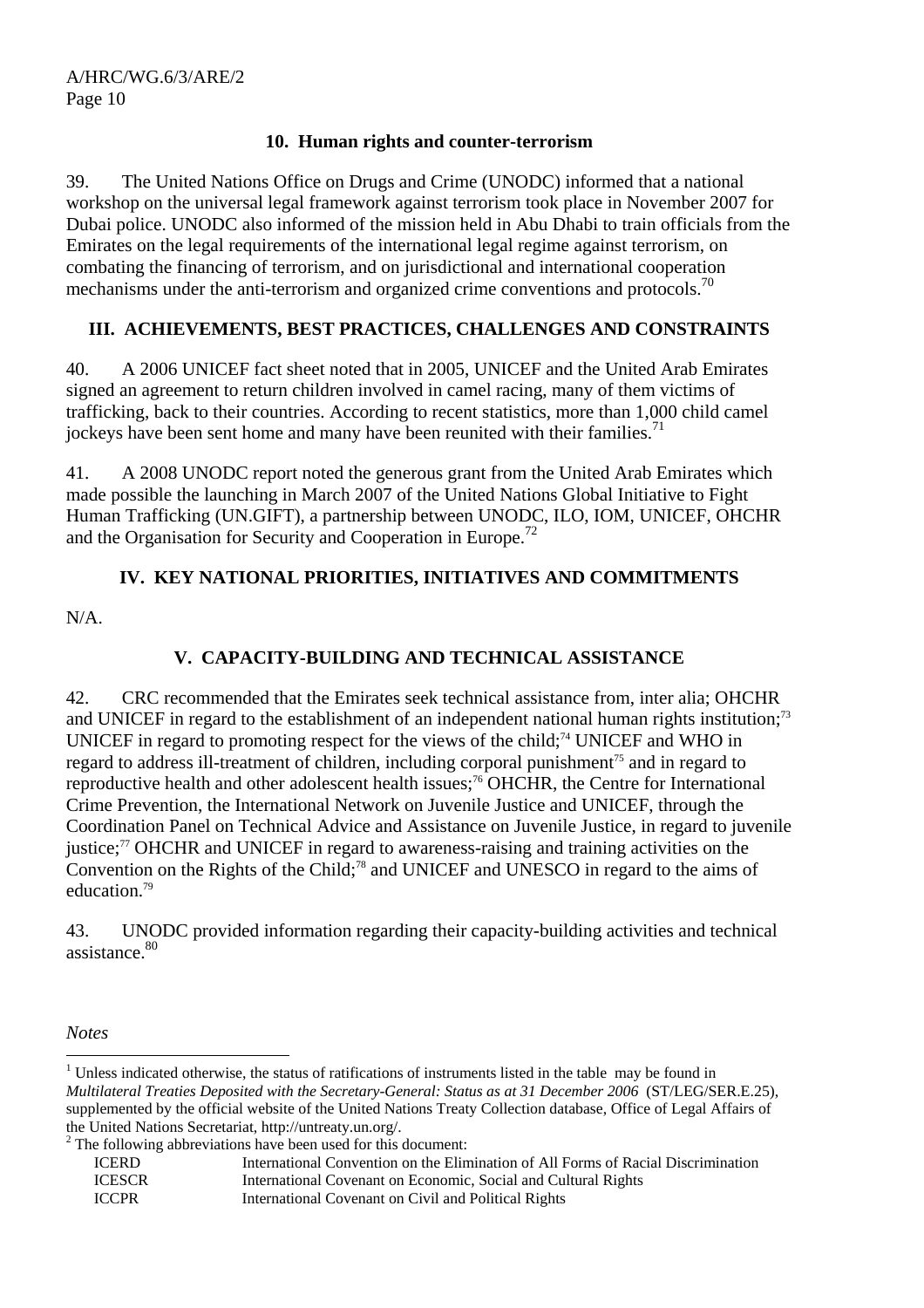#### **10. Human rights and counter-terrorism**

39. The United Nations Office on Drugs and Crime (UNODC) informed that a national workshop on the universal legal framework against terrorism took place in November 2007 for Dubai police. UNODC also informed of the mission held in Abu Dhabi to train officials from the Emirates on the legal requirements of the international legal regime against terrorism, on combating the financing of terrorism, and on jurisdictional and international cooperation mechanisms under the anti-terrorism and organized crime conventions and protocols.<sup>70</sup>

# **III. ACHIEVEMENTS, BEST PRACTICES, CHALLENGES AND CONSTRAINTS**

40. A 2006 UNICEF fact sheet noted that in 2005, UNICEF and the United Arab Emirates signed an agreement to return children involved in camel racing, many of them victims of trafficking, back to their countries. According to recent statistics, more than 1,000 child camel jockeys have been sent home and many have been reunited with their families.<sup>71</sup>

41. A 2008 UNODC report noted the generous grant from the United Arab Emirates which made possible the launching in March 2007 of the United Nations Global Initiative to Fight Human Trafficking (UN.GIFT), a partnership between UNODC, ILO, IOM, UNICEF, OHCHR and the Organisation for Security and Cooperation in Europe.<sup>72</sup>

# **IV. KEY NATIONAL PRIORITIES, INITIATIVES AND COMMITMENTS**

N/A.

# **V. CAPACITY-BUILDING AND TECHNICAL ASSISTANCE**

42. CRC recommended that the Emirates seek technical assistance from, inter alia; OHCHR and UNICEF in regard to the establishment of an independent national human rights institution;<sup>73</sup> UNICEF in regard to promoting respect for the views of the child;<sup>74</sup> UNICEF and WHO in regard to address ill-treatment of children, including corporal punishment<sup>75</sup> and in regard to reproductive health and other adolescent health issues;<sup>76</sup> OHCHR, the Centre for International Crime Prevention, the International Network on Juvenile Justice and UNICEF, through the Coordination Panel on Technical Advice and Assistance on Juvenile Justice, in regard to juvenile justice;<sup>77</sup> OHCHR and UNICEF in regard to awareness-raising and training activities on the Convention on the Rights of the Child;<sup>78</sup> and UNICEF and UNESCO in regard to the aims of education.79

43. UNODC provided information regarding their capacity-building activities and technical assistance.<sup>80</sup>

*Notes* 

 $2^2$  The following abbreviations have been used for this document:

 $\overline{a}$ <sup>1</sup> Unless indicated otherwise, the status of ratifications of instruments listed in the table may be found in *Multilateral Treaties Deposited with the Secretary-General: Status as at 31 December 2006* (ST/LEG/SER.E.25), supplemented by the official website of the United Nations Treaty Collection database, Office of Legal Affairs of the United Nations Secretariat, http://untreaty.un.org/. 2

ICERD International Convention on the Elimination of All Forms of Racial Discrimination ICESCR International Covenant on Economic, Social and Cultural Rights ICCPR International Covenant on Civil and Political Rights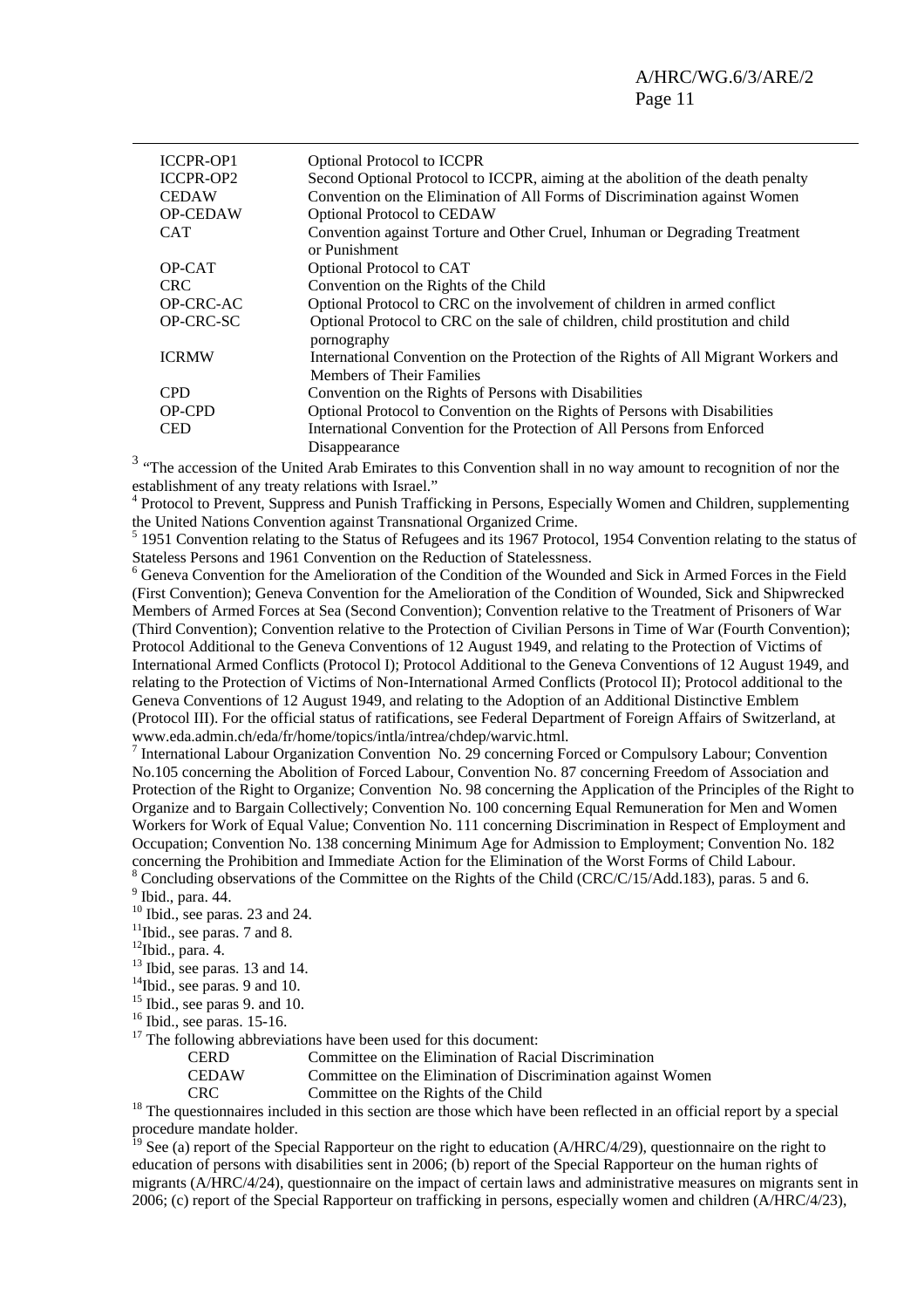| Optional Protocol to ICCPR                                                                                              |
|-------------------------------------------------------------------------------------------------------------------------|
| Second Optional Protocol to ICCPR, aiming at the abolition of the death penalty                                         |
| Convention on the Elimination of All Forms of Discrimination against Women                                              |
| <b>Optional Protocol to CEDAW</b>                                                                                       |
| Convention against Torture and Other Cruel, Inhuman or Degrading Treatment<br>or Punishment                             |
| Optional Protocol to CAT                                                                                                |
| Convention on the Rights of the Child                                                                                   |
| Optional Protocol to CRC on the involvement of children in armed conflict                                               |
| Optional Protocol to CRC on the sale of children, child prostitution and child<br>pornography                           |
| International Convention on the Protection of the Rights of All Migrant Workers and<br><b>Members of Their Families</b> |
| Convention on the Rights of Persons with Disabilities                                                                   |
| Optional Protocol to Convention on the Rights of Persons with Disabilities                                              |
| International Convention for the Protection of All Persons from Enforced<br>Disappearance                               |
|                                                                                                                         |

<sup>3</sup> "The accession of the United Arab Emirates to this Convention shall in no way amount to recognition of nor the establishment of any treaty relations with Israel."

<sup>4</sup> Protocol to Prevent, Suppress and Punish Trafficking in Persons, Especially Women and Children, supplementing the United Nations Convention against Transnational Organized Crime.

<sup>5</sup> 1951 Convention relating to the Status of Refugees and its 1967 Protocol, 1954 Convention relating to the status of Stateless Persons and 1961 Convention on the Reduction of Statelessness. 6

<sup>6</sup> Geneva Convention for the Amelioration of the Condition of the Wounded and Sick in Armed Forces in the Field (First Convention); Geneva Convention for the Amelioration of the Condition of Wounded, Sick and Shipwrecked Members of Armed Forces at Sea (Second Convention); Convention relative to the Treatment of Prisoners of War (Third Convention); Convention relative to the Protection of Civilian Persons in Time of War (Fourth Convention); Protocol Additional to the Geneva Conventions of 12 August 1949, and relating to the Protection of Victims of International Armed Conflicts (Protocol I); Protocol Additional to the Geneva Conventions of 12 August 1949, and relating to the Protection of Victims of Non-International Armed Conflicts (Protocol II); Protocol additional to the Geneva Conventions of 12 August 1949, and relating to the Adoption of an Additional Distinctive Emblem (Protocol III). For the official status of ratifications, see Federal Department of Foreign Affairs of Switzerland, at www.eda.admin.ch/eda/fr/home/topics/intla/intrea/chdep/warvic.html. 7

<sup>7</sup> International Labour Organization Convention No. 29 concerning Forced or Compulsory Labour; Convention No.105 concerning the Abolition of Forced Labour, Convention No. 87 concerning Freedom of Association and Protection of the Right to Organize; Convention No. 98 concerning the Application of the Principles of the Right to Organize and to Bargain Collectively; Convention No. 100 concerning Equal Remuneration for Men and Women Workers for Work of Equal Value; Convention No. 111 concerning Discrimination in Respect of Employment and Occupation; Convention No. 138 concerning Minimum Age for Admission to Employment; Convention No. 182 concerning the Prohibition and Immediate Action for the Elimination of the Worst Forms of Child Labour. <sup>8</sup> Concluding observations of the Committee on the Rights of the Child (CRC/C/15/Add.183), paras. 5 and 6.

 $10$  Ibid., see paras. 23 and 24.

12Ibid., para. 4.

 $13$  Ibid, see paras. 13 and 14.

<sup>14</sup>Ibid., see paras. 9 and 10.

 $15$  Ibid., see paras 9. and 10.

 $16$  Ibid., see paras. 15-16.

 $17$  The following abbreviations have been used for this document:

CERD Committee on the Elimination of Racial Discrimination

CEDAW Committee on the Elimination of Discrimination against Women

CRC Committee on the Rights of the Child 18 The questionnaires included in this section are those which have been reflected in an official report by a special procedure mandate holder.

<sup>19</sup> See (a) report of the Special Rapporteur on the right to education (A/HRC/4/29), questionnaire on the right to education of persons with disabilities sent in 2006; (b) report of the Special Rapporteur on the human rights of migrants (A/HRC/4/24), questionnaire on the impact of certain laws and administrative measures on migrants sent in 2006; (c) report of the Special Rapporteur on trafficking in persons, especially women and children (A/HRC/4/23),

 $<sup>9</sup>$  Ibid., para. 44.</sup>

 $11$ Ibid., see paras. 7 and 8.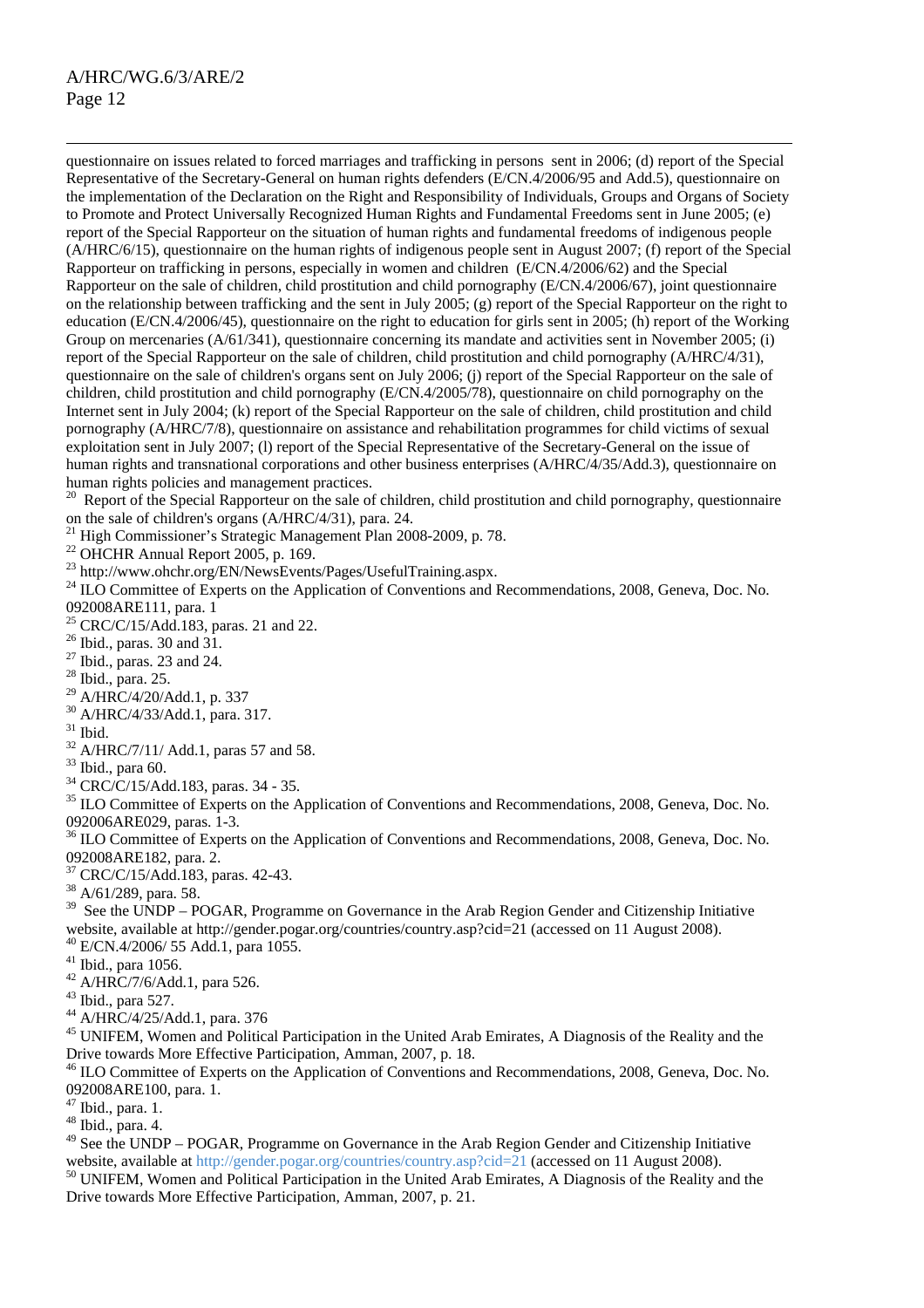questionnaire on issues related to forced marriages and trafficking in persons sent in 2006; (d) report of the Special Representative of the Secretary-General on human rights defenders (E/CN.4/2006/95 and Add.5), questionnaire on the implementation of the Declaration on the Right and Responsibility of Individuals, Groups and Organs of Society to Promote and Protect Universally Recognized Human Rights and Fundamental Freedoms sent in June 2005; (e) report of the Special Rapporteur on the situation of human rights and fundamental freedoms of indigenous people (A/HRC/6/15), questionnaire on the human rights of indigenous people sent in August 2007; (f) report of the Special Rapporteur on trafficking in persons, especially in women and children (E/CN.4/2006/62) and the Special Rapporteur on the sale of children, child prostitution and child pornography (E/CN.4/2006/67), joint questionnaire on the relationship between trafficking and the sent in July 2005; (g) report of the Special Rapporteur on the right to education (E/CN.4/2006/45), questionnaire on the right to education for girls sent in 2005; (h) report of the Working Group on mercenaries (A/61/341), questionnaire concerning its mandate and activities sent in November 2005; (i) report of the Special Rapporteur on the sale of children, child prostitution and child pornography (A/HRC/4/31), questionnaire on the sale of children's organs sent on July 2006; (j) report of the Special Rapporteur on the sale of children, child prostitution and child pornography (E/CN.4/2005/78), questionnaire on child pornography on the Internet sent in July 2004; (k) report of the Special Rapporteur on the sale of children, child prostitution and child pornography (A/HRC/7/8), questionnaire on assistance and rehabilitation programmes for child victims of sexual exploitation sent in July 2007; (l) report of the Special Representative of the Secretary-General on the issue of human rights and transnational corporations and other business enterprises (A/HRC/4/35/Add.3), questionnaire on human rights policies and management practices.

Report of the Special Rapporteur on the sale of children, child prostitution and child pornography, questionnaire on the sale of children's organs (A/HRC/4/31), para. 24.

<sup>21</sup> High Commissioner's Strategic Management Plan 2008-2009, p. 78.

<sup>22</sup> OHCHR Annual Report 2005, p. 169.<br><sup>23</sup> http://www.ohchr.org/EN/NewsEvents/Pages/UsefulTraining.aspx.

<sup>24</sup> ILO Committee of Experts on the Application of Conventions and Recommendations, 2008, Geneva, Doc. No. 092008ARE111, para. 1

<sup>25</sup> CRC/C/15/Add.183, paras. 21 and 22.

<sup>26</sup> Ibid., paras. 30 and 31.

 $27$  Ibid., paras. 23 and 24.

28 Ibid., para. 25.

29 A/HRC/4/20/Add.1, p. 337

30 A/HRC/4/33/Add.1, para. 317.

 $31$  Ibid.

32 A/HRC/7/11/ Add.1, paras 57 and 58.

33 Ibid., para 60.

34 CRC/C/15/Add.183, paras. 34 - 35.

<sup>35</sup> ILO Committee of Experts on the Application of Conventions and Recommendations, 2008, Geneva, Doc. No. 092006ARE029, paras. 1-3.

<sup>36</sup> ILO Committee of Experts on the Application of Conventions and Recommendations, 2008, Geneva, Doc. No. 092008ARE182, para. 2.

37 CRC/C/15/Add.183, paras. 42-43.

38 A/61/289, para. 58.

 $39$  See the UNDP – POGAR, Programme on Governance in the Arab Region Gender and Citizenship Initiative website, available at http://gender.pogar.org/countries/country.asp?cid=21 (accessed on 11 August 2008). 40 E/CN.4/2006/ 55 Add.1, para 1055.

41 Ibid., para 1056.

 $42$  A/HRC/7/6/Add.1, para 526.

43 Ibid., para 527.

44 A/HRC/4/25/Add.1, para. 376

<sup>45</sup> UNIFEM, Women and Political Participation in the United Arab Emirates, A Diagnosis of the Reality and the Drive towards More Effective Participation, Amman, 2007, p. 18.<br><sup>46</sup> ILO Committee of Experts on the Application of Conventions and Recommendations, 2008, Geneva, Doc. No.

092008ARE100, para. 1.

47 Ibid., para. 1.

48 Ibid., para. 4.

<sup>49</sup> See the UNDP – POGAR, Programme on Governance in the Arab Region Gender and Citizenship Initiative website, available at http://gender.pogar.org/countries/country.asp?cid=21 (accessed on 11 August 2008).<br><sup>50</sup> UNIFEM, Women and Political Participation in the United Arab Emirates, A Diagnosis of the Reality and the

Drive towards More Effective Participation, Amman, 2007, p. 21.